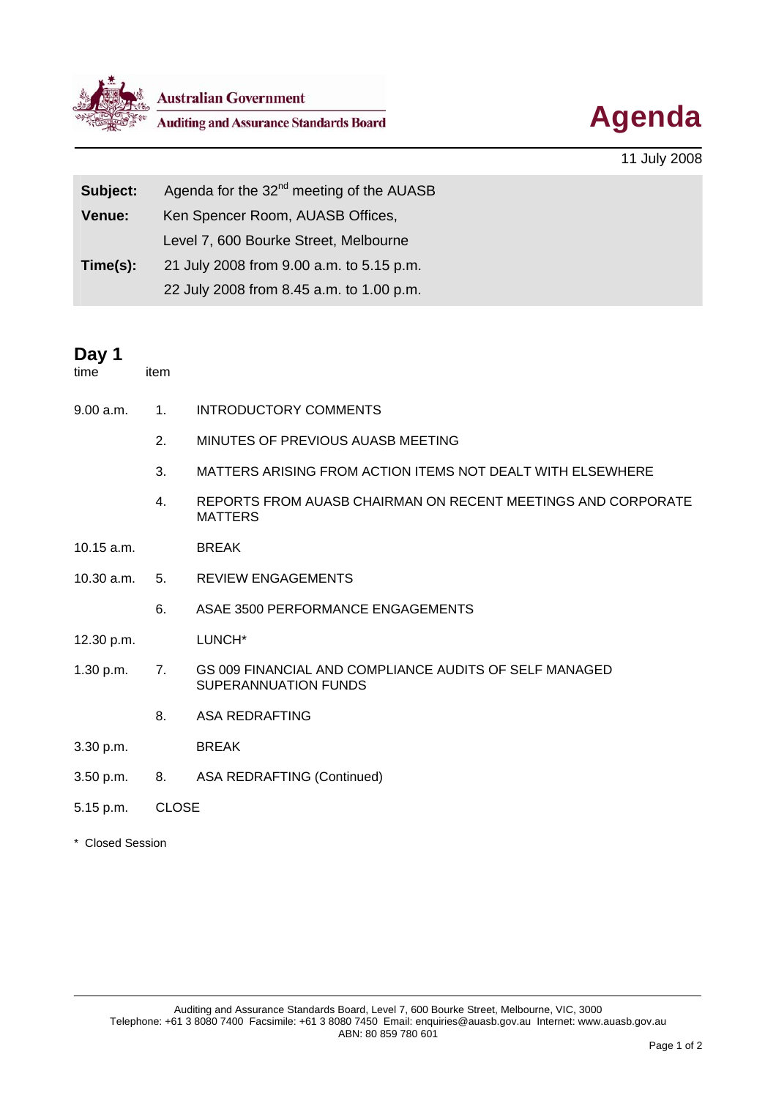

**Australian Government**<br>Auditing and Assurance Standards Board<br> **Agenda** 



11 July 2008

| Subject: | Agenda for the 32 <sup>nd</sup> meeting of the AUASB |
|----------|------------------------------------------------------|
| Venue:   | Ken Spencer Room, AUASB Offices,                     |
|          | Level 7, 600 Bourke Street, Melbourne                |
| Time(s): | 21 July 2008 from 9.00 a.m. to 5.15 p.m.             |
|          | 22 July 2008 from 8.45 a.m. to 1.00 p.m.             |

## **Day 1**

item

- 9.00 a.m. 1. INTRODUCTORY COMMENTS
	- 2. MINUTES OF PREVIOUS AUASB MEETING
	- 3. MATTERS ARISING FROM ACTION ITEMS NOT DEALT WITH ELSEWHERE
	- 4. REPORTS FROM AUASB CHAIRMAN ON RECENT MEETINGS AND CORPORATE MATTERS
- 10.15 a.m. BREAK
- 10.30 a.m. 5. REVIEW ENGAGEMENTS
	- 6. ASAE 3500 PERFORMANCE ENGAGEMENTS
- 12.30 p.m. LUNCH\*
- 1.30 p.m. 7. GS 009 FINANCIAL AND COMPLIANCE AUDITS OF SELF MANAGED SUPERANNUATION FUNDS
	- 8. ASA REDRAFTING
- 3.30 p.m. BREAK
- 3.50 p.m. 8. ASA REDRAFTING (Continued)
- 5.15 p.m. CLOSE
- \* Closed Session